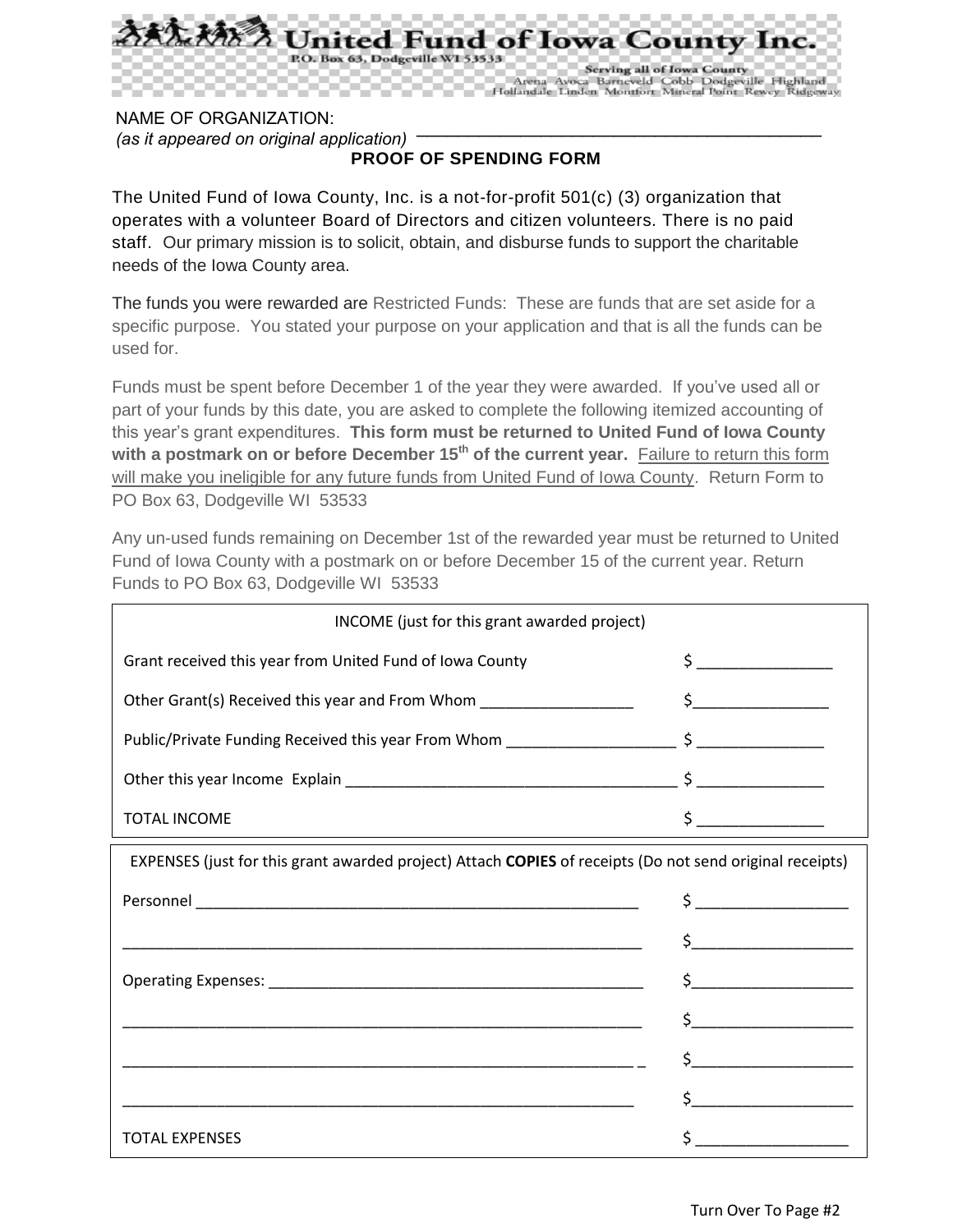

NAME OF ORGANIZATION: *(as it appeared on original application)*

**PROOF OF SPENDING FORM** 

\_\_\_\_\_\_\_\_\_\_\_\_\_\_\_\_\_\_\_\_\_\_\_\_\_\_\_\_\_\_\_\_\_\_\_\_\_\_\_

The United Fund of Iowa County, Inc. is a not-for-profit 501(c) (3) organization that operates with a volunteer Board of Directors and citizen volunteers. There is no paid staff. Our primary mission is to solicit, obtain, and disburse funds to support the charitable needs of the Iowa County area.

The funds you were rewarded are Restricted Funds: These are funds that are set aside for a specific purpose. You stated your purpose on your application and that is all the funds can be used for.

Funds must be spent before December 1 of the year they were awarded. If you've used all or part of your funds by this date, you are asked to complete the following itemized accounting of this year's grant expenditures. **This form must be returned to United Fund of Iowa County with a postmark on or before December 15th of the current year.** Failure to return this form will make you ineligible for any future funds from United Fund of Iowa County. Return Form to PO Box 63, Dodgeville WI 53533

Any un-used funds remaining on December 1st of the rewarded year must be returned to United Fund of Iowa County with a postmark on or before December 15 of the current year. Return Funds to PO Box 63, Dodgeville WI 53533

| INCOME (just for this grant awarded project)                                                             |                                                                                                                                                                                                                                                                                                                                                     |
|----------------------------------------------------------------------------------------------------------|-----------------------------------------------------------------------------------------------------------------------------------------------------------------------------------------------------------------------------------------------------------------------------------------------------------------------------------------------------|
| Grant received this year from United Fund of Iowa County                                                 | $\begin{picture}(20,10) \put(0,0){\line(1,0){10}} \put(15,0){\line(1,0){10}} \put(15,0){\line(1,0){10}} \put(15,0){\line(1,0){10}} \put(15,0){\line(1,0){10}} \put(15,0){\line(1,0){10}} \put(15,0){\line(1,0){10}} \put(15,0){\line(1,0){10}} \put(15,0){\line(1,0){10}} \put(15,0){\line(1,0){10}} \put(15,0){\line(1,0){10}} \put(15,0){\line(1$ |
| Other Grant(s) Received this year and From Whom ___________________                                      | $\frac{1}{2}$                                                                                                                                                                                                                                                                                                                                       |
|                                                                                                          |                                                                                                                                                                                                                                                                                                                                                     |
|                                                                                                          |                                                                                                                                                                                                                                                                                                                                                     |
| <b>TOTAL INCOME</b>                                                                                      | $\frac{1}{2}$                                                                                                                                                                                                                                                                                                                                       |
| EXPENSES (just for this grant awarded project) Attach COPIES of receipts (Do not send original receipts) |                                                                                                                                                                                                                                                                                                                                                     |
|                                                                                                          | $\begin{picture}(20,10) \put(0,0){\line(1,0){10}} \put(15,0){\line(1,0){10}} \put(15,0){\line(1,0){10}} \put(15,0){\line(1,0){10}} \put(15,0){\line(1,0){10}} \put(15,0){\line(1,0){10}} \put(15,0){\line(1,0){10}} \put(15,0){\line(1,0){10}} \put(15,0){\line(1,0){10}} \put(15,0){\line(1,0){10}} \put(15,0){\line(1,0){10}} \put(15,0){\line(1$ |
|                                                                                                          | $\sim$ $\sim$                                                                                                                                                                                                                                                                                                                                       |
|                                                                                                          | $\mathsf{S} \hspace{0.03in} \underbrace{\hspace{0.03in}}$                                                                                                                                                                                                                                                                                           |
|                                                                                                          | $\begin{picture}(20,10) \put(0,0){\line(1,0){10}} \put(15,0){\line(1,0){10}} \put(15,0){\line(1,0){10}} \put(15,0){\line(1,0){10}} \put(15,0){\line(1,0){10}} \put(15,0){\line(1,0){10}} \put(15,0){\line(1,0){10}} \put(15,0){\line(1,0){10}} \put(15,0){\line(1,0){10}} \put(15,0){\line(1,0){10}} \put(15,0){\line(1,0){10}} \put(15,0){\line(1$ |
|                                                                                                          | $\sharp$                                                                                                                                                                                                                                                                                                                                            |
|                                                                                                          | $\begin{array}{c} \xi \end{array}$                                                                                                                                                                                                                                                                                                                  |
| <b>TOTAL EXPENSES</b>                                                                                    |                                                                                                                                                                                                                                                                                                                                                     |